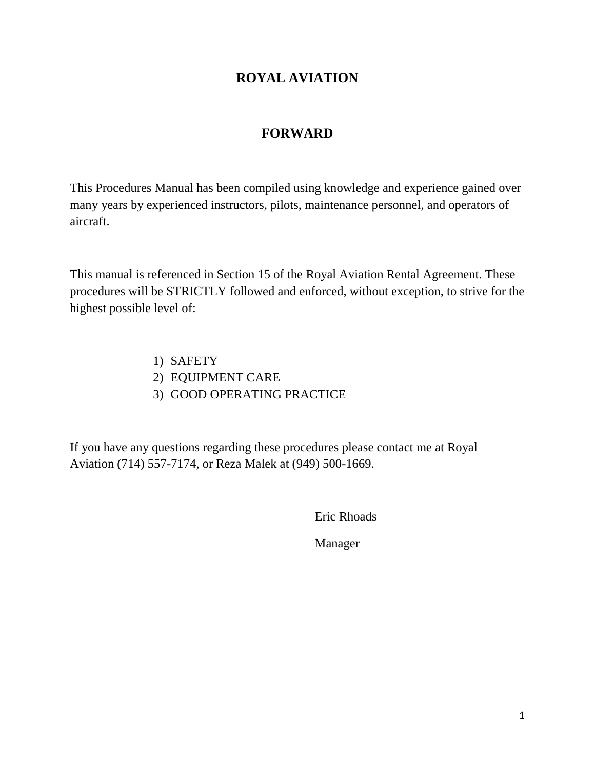## **ROYAL AVIATION**

# **FORWARD**

This Procedures Manual has been compiled using knowledge and experience gained over many years by experienced instructors, pilots, maintenance personnel, and operators of aircraft.

This manual is referenced in Section 15 of the Royal Aviation Rental Agreement. These procedures will be STRICTLY followed and enforced, without exception, to strive for the highest possible level of:

> 1) SAFETY 2) EQUIPMENT CARE

3) GOOD OPERATING PRACTICE

If you have any questions regarding these procedures please contact me at Royal Aviation (714) 557-7174, or Reza Malek at (949) 500-1669.

Eric Rhoads

Manager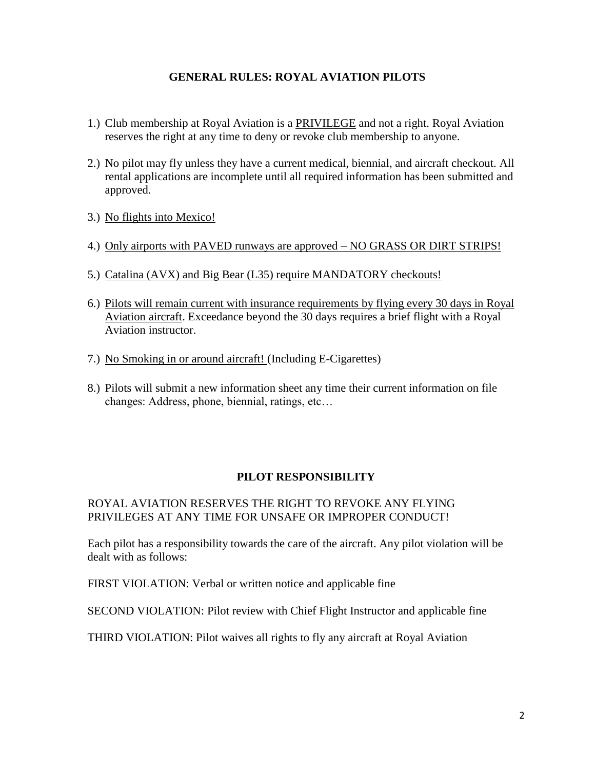### **GENERAL RULES: ROYAL AVIATION PILOTS**

- 1.) Club membership at Royal Aviation is a PRIVILEGE and not a right. Royal Aviation reserves the right at any time to deny or revoke club membership to anyone.
- 2.) No pilot may fly unless they have a current medical, biennial, and aircraft checkout. All rental applications are incomplete until all required information has been submitted and approved.
- 3.) No flights into Mexico!
- 4.) Only airports with PAVED runways are approved NO GRASS OR DIRT STRIPS!
- 5.) Catalina (AVX) and Big Bear (L35) require MANDATORY checkouts!
- 6.) Pilots will remain current with insurance requirements by flying every 30 days in Royal Aviation aircraft. Exceedance beyond the 30 days requires a brief flight with a Royal Aviation instructor.
- 7.) No Smoking in or around aircraft! (Including E-Cigarettes)
- 8.) Pilots will submit a new information sheet any time their current information on file changes: Address, phone, biennial, ratings, etc…

### **PILOT RESPONSIBILITY**

### ROYAL AVIATION RESERVES THE RIGHT TO REVOKE ANY FLYING PRIVILEGES AT ANY TIME FOR UNSAFE OR IMPROPER CONDUCT!

Each pilot has a responsibility towards the care of the aircraft. Any pilot violation will be dealt with as follows:

FIRST VIOLATION: Verbal or written notice and applicable fine

SECOND VIOLATION: Pilot review with Chief Flight Instructor and applicable fine

THIRD VIOLATION: Pilot waives all rights to fly any aircraft at Royal Aviation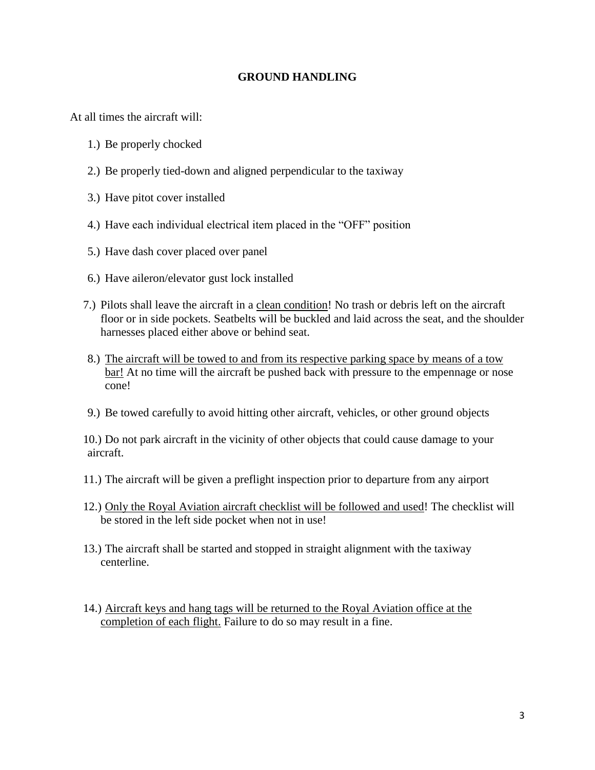#### **GROUND HANDLING**

At all times the aircraft will:

- 1.) Be properly chocked
- 2.) Be properly tied-down and aligned perpendicular to the taxiway
- 3.) Have pitot cover installed
- 4.) Have each individual electrical item placed in the "OFF" position
- 5.) Have dash cover placed over panel
- 6.) Have aileron/elevator gust lock installed
- 7.) Pilots shall leave the aircraft in a clean condition! No trash or debris left on the aircraft floor or in side pockets. Seatbelts will be buckled and laid across the seat, and the shoulder harnesses placed either above or behind seat.
- 8.) The aircraft will be towed to and from its respective parking space by means of a tow bar! At no time will the aircraft be pushed back with pressure to the empennage or nose cone!
- 9.) Be towed carefully to avoid hitting other aircraft, vehicles, or other ground objects

10.) Do not park aircraft in the vicinity of other objects that could cause damage to your aircraft.

- 11.) The aircraft will be given a preflight inspection prior to departure from any airport
- 12.) Only the Royal Aviation aircraft checklist will be followed and used! The checklist will be stored in the left side pocket when not in use!
- 13.) The aircraft shall be started and stopped in straight alignment with the taxiway centerline.
- 14.) Aircraft keys and hang tags will be returned to the Royal Aviation office at the completion of each flight. Failure to do so may result in a fine.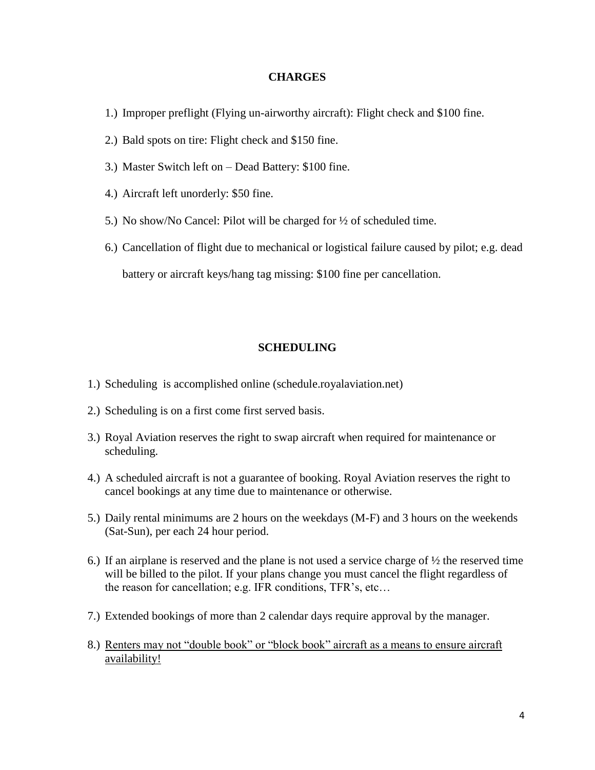#### **CHARGES**

- 1.) Improper preflight (Flying un-airworthy aircraft): Flight check and \$100 fine.
- 2.) Bald spots on tire: Flight check and \$150 fine.
- 3.) Master Switch left on Dead Battery: \$100 fine.
- 4.) Aircraft left unorderly: \$50 fine.
- 5.) No show/No Cancel: Pilot will be charged for ½ of scheduled time.
- 6.) Cancellation of flight due to mechanical or logistical failure caused by pilot; e.g. dead

battery or aircraft keys/hang tag missing: \$100 fine per cancellation.

#### **SCHEDULING**

- 1.) Scheduling is accomplished online (schedule.royalaviation.net)
- 2.) Scheduling is on a first come first served basis.
- 3.) Royal Aviation reserves the right to swap aircraft when required for maintenance or scheduling.
- 4.) A scheduled aircraft is not a guarantee of booking. Royal Aviation reserves the right to cancel bookings at any time due to maintenance or otherwise.
- 5.) Daily rental minimums are 2 hours on the weekdays (M-F) and 3 hours on the weekends (Sat-Sun), per each 24 hour period.
- 6.) If an airplane is reserved and the plane is not used a service charge of ½ the reserved time will be billed to the pilot. If your plans change you must cancel the flight regardless of the reason for cancellation; e.g. IFR conditions, TFR's, etc…
- 7.) Extended bookings of more than 2 calendar days require approval by the manager.
- 8.) Renters may not "double book" or "block book" aircraft as a means to ensure aircraft availability!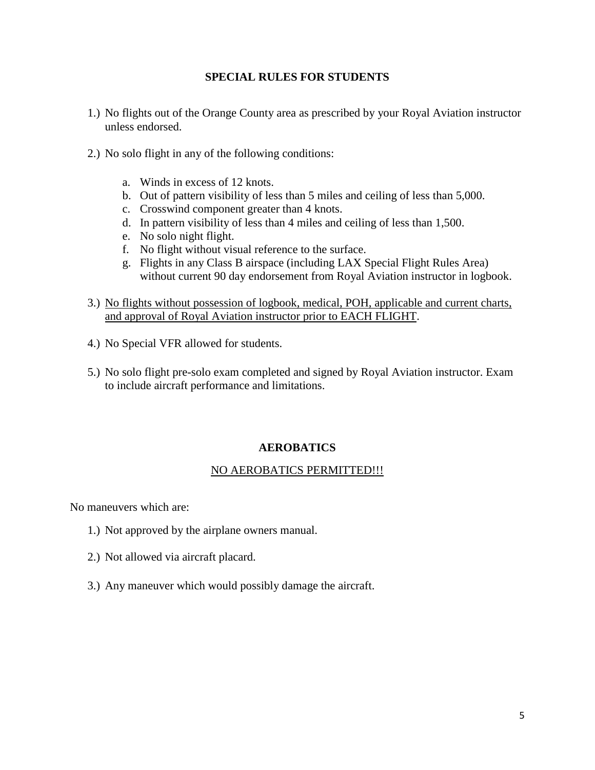#### **SPECIAL RULES FOR STUDENTS**

- 1.) No flights out of the Orange County area as prescribed by your Royal Aviation instructor unless endorsed.
- 2.) No solo flight in any of the following conditions:
	- a. Winds in excess of 12 knots.
	- b. Out of pattern visibility of less than 5 miles and ceiling of less than 5,000.
	- c. Crosswind component greater than 4 knots.
	- d. In pattern visibility of less than 4 miles and ceiling of less than 1,500.
	- e. No solo night flight.
	- f. No flight without visual reference to the surface.
	- g. Flights in any Class B airspace (including LAX Special Flight Rules Area) without current 90 day endorsement from Royal Aviation instructor in logbook.
- 3.) No flights without possession of logbook, medical, POH, applicable and current charts, and approval of Royal Aviation instructor prior to EACH FLIGHT.
- 4.) No Special VFR allowed for students.
- 5.) No solo flight pre-solo exam completed and signed by Royal Aviation instructor. Exam to include aircraft performance and limitations.

### **AEROBATICS**

### NO AEROBATICS PERMITTED!!!

No maneuvers which are:

- 1.) Not approved by the airplane owners manual.
- 2.) Not allowed via aircraft placard.
- 3.) Any maneuver which would possibly damage the aircraft.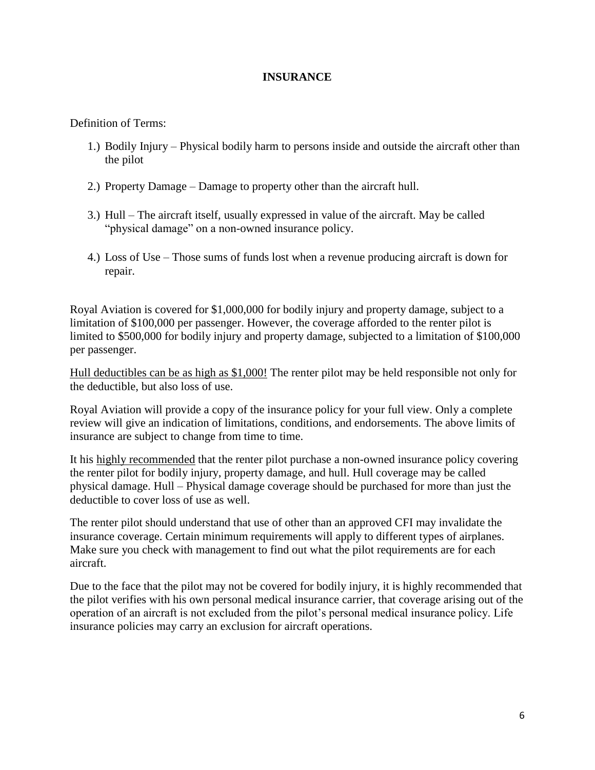#### **INSURANCE**

Definition of Terms:

- 1.) Bodily Injury Physical bodily harm to persons inside and outside the aircraft other than the pilot
- 2.) Property Damage Damage to property other than the aircraft hull.
- 3.) Hull The aircraft itself, usually expressed in value of the aircraft. May be called "physical damage" on a non-owned insurance policy.
- 4.) Loss of Use Those sums of funds lost when a revenue producing aircraft is down for repair.

Royal Aviation is covered for \$1,000,000 for bodily injury and property damage, subject to a limitation of \$100,000 per passenger. However, the coverage afforded to the renter pilot is limited to \$500,000 for bodily injury and property damage, subjected to a limitation of \$100,000 per passenger.

Hull deductibles can be as high as \$1,000! The renter pilot may be held responsible not only for the deductible, but also loss of use.

Royal Aviation will provide a copy of the insurance policy for your full view. Only a complete review will give an indication of limitations, conditions, and endorsements. The above limits of insurance are subject to change from time to time.

It his highly recommended that the renter pilot purchase a non-owned insurance policy covering the renter pilot for bodily injury, property damage, and hull. Hull coverage may be called physical damage. Hull – Physical damage coverage should be purchased for more than just the deductible to cover loss of use as well.

The renter pilot should understand that use of other than an approved CFI may invalidate the insurance coverage. Certain minimum requirements will apply to different types of airplanes. Make sure you check with management to find out what the pilot requirements are for each aircraft.

Due to the face that the pilot may not be covered for bodily injury, it is highly recommended that the pilot verifies with his own personal medical insurance carrier, that coverage arising out of the operation of an aircraft is not excluded from the pilot's personal medical insurance policy. Life insurance policies may carry an exclusion for aircraft operations.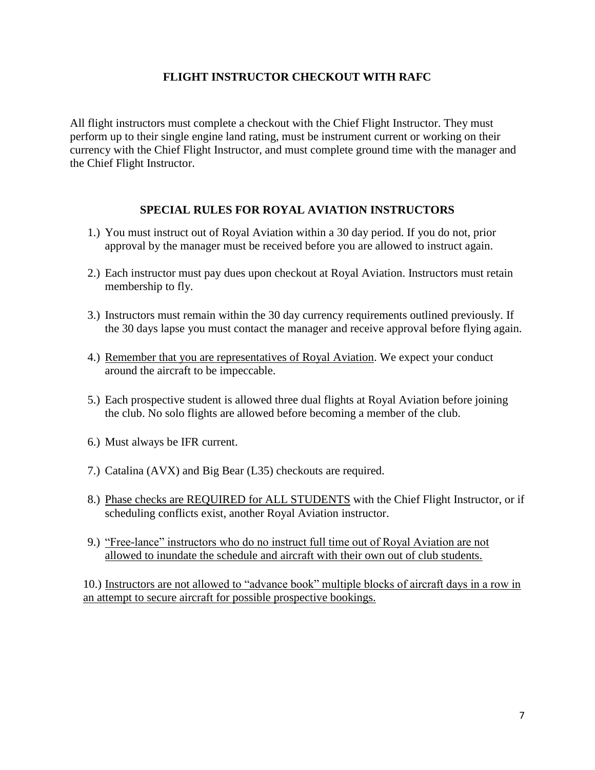### **FLIGHT INSTRUCTOR CHECKOUT WITH RAFC**

All flight instructors must complete a checkout with the Chief Flight Instructor. They must perform up to their single engine land rating, must be instrument current or working on their currency with the Chief Flight Instructor, and must complete ground time with the manager and the Chief Flight Instructor.

### **SPECIAL RULES FOR ROYAL AVIATION INSTRUCTORS**

- 1.) You must instruct out of Royal Aviation within a 30 day period. If you do not, prior approval by the manager must be received before you are allowed to instruct again.
- 2.) Each instructor must pay dues upon checkout at Royal Aviation. Instructors must retain membership to fly.
- 3.) Instructors must remain within the 30 day currency requirements outlined previously. If the 30 days lapse you must contact the manager and receive approval before flying again.
- 4.) Remember that you are representatives of Royal Aviation. We expect your conduct around the aircraft to be impeccable.
- 5.) Each prospective student is allowed three dual flights at Royal Aviation before joining the club. No solo flights are allowed before becoming a member of the club.
- 6.) Must always be IFR current.
- 7.) Catalina (AVX) and Big Bear (L35) checkouts are required.
- 8.) Phase checks are REQUIRED for ALL STUDENTS with the Chief Flight Instructor, or if scheduling conflicts exist, another Royal Aviation instructor.
- 9.) "Free-lance" instructors who do no instruct full time out of Royal Aviation are not allowed to inundate the schedule and aircraft with their own out of club students.

10.) Instructors are not allowed to "advance book" multiple blocks of aircraft days in a row in an attempt to secure aircraft for possible prospective bookings.